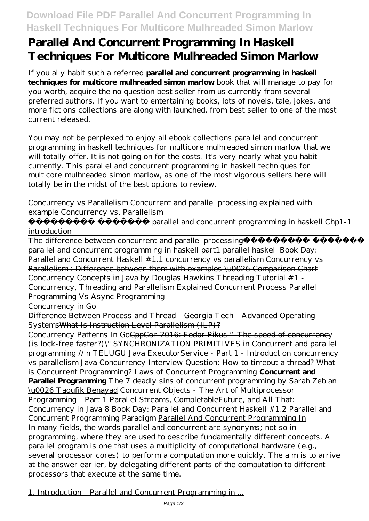## **Download File PDF Parallel And Concurrent Programming In Haskell Techniques For Multicore Mulhreaded Simon Marlow**

# **Parallel And Concurrent Programming In Haskell Techniques For Multicore Mulhreaded Simon Marlow**

If you ally habit such a referred **parallel and concurrent programming in haskell techniques for multicore mulhreaded simon marlow** book that will manage to pay for you worth, acquire the no question best seller from us currently from several preferred authors. If you want to entertaining books, lots of novels, tale, jokes, and more fictions collections are along with launched, from best seller to one of the most current released.

You may not be perplexed to enjoy all ebook collections parallel and concurrent programming in haskell techniques for multicore mulhreaded simon marlow that we will totally offer. It is not going on for the costs. It's very nearly what you habit currently. This parallel and concurrent programming in haskell techniques for multicore mulhreaded simon marlow, as one of the most vigorous sellers here will totally be in the midst of the best options to review.

### Concurrency vs Parallelism Concurrent and parallel processing explained with example Concurrency vs. Parallelism

parallel and concurrent programming in haskell Chp1-1

introduction

The difference between concurrent and parallel processing *parallel and concurrent programming in haskell part1 parallel haskell Book Day: Parallel and Concurrent Haskell #1.1* concurrency vs parallelism Concurrency vs Parallelism : Difference between them with examples \u0026 Comparison Chart Concurrency Concepts in Java by Douglas Hawkins Threading Tutorial #1 - Concurrency, Threading and Parallelism Explained *Concurrent Process Parallel Programming Vs Async Programming*

Concurrency in Go

Difference Between Process and Thread - Georgia Tech - Advanced Operating SystemsWhat Is Instruction Level Parallelism (ILP)?

Concurrency Patterns In GoCppCon 2016: Fedor Pikus "The speed of concurrency (is lock-free faster?)\" SYNCHRONIZATION PRIMITIVES in Concurrent and parallel programming //in TELUGU Java ExecutorService - Part 1 - Introduction concurrency vs parallelism Java Concurrency Interview Question: How to timeout a thread? *What is Concurrent Programming? Laws of Concurrent Programming* **Concurrent and Parallel Programming** The 7 deadly sins of concurrent programming by Sarah Zebian \u0026 Taoufik Benayad *Concurrent Objects - The Art of Multiprocessor Programming - Part 1 Parallel Streams, CompletableFuture, and All That: Concurrency in Java 8* Book Day: Parallel and Concurrent Haskell #1.2 Parallel and Concurrent Programming Paradigm Parallel And Concurrent Programming In In many fields, the words parallel and concurrent are synonyms; not so in programming, where they are used to describe fundamentally different concepts. A parallel program is one that uses a multiplicity of computational hardware (e.g., several processor cores) to perform a computation more quickly. The aim is to arrive at the answer earlier, by delegating different parts of the computation to different processors that execute at the same time.

1. Introduction - Parallel and Concurrent Programming in ...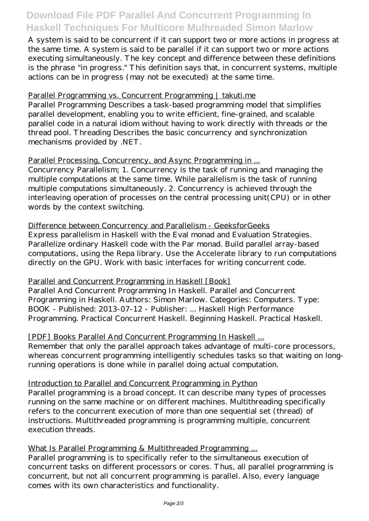## **Download File PDF Parallel And Concurrent Programming In Haskell Techniques For Multicore Mulhreaded Simon Marlow**

A system is said to be concurrent if it can support two or more actions in progress at the same time. A system is said to be parallel if it can support two or more actions executing simultaneously. The key concept and difference between these definitions is the phrase "in progress." This definition says that, in concurrent systems, multiple actions can be in progress (may not be executed) at the same time.

## Parallel Programming vs. Concurrent Programming | takuti.me

Parallel Programming Describes a task-based programming model that simplifies parallel development, enabling you to write efficient, fine-grained, and scalable parallel code in a natural idiom without having to work directly with threads or the thread pool. Threading Describes the basic concurrency and synchronization mechanisms provided by .NET.

## Parallel Processing, Concurrency, and Async Programming in ...

Concurrency Parallelism; 1. Concurrency is the task of running and managing the multiple computations at the same time. While parallelism is the task of running multiple computations simultaneously. 2. Concurrency is achieved through the interleaving operation of processes on the central processing unit(CPU) or in other words by the context switching.

## Difference between Concurrency and Parallelism - GeeksforGeeks

Express parallelism in Haskell with the Eval monad and Evaluation Strategies. Parallelize ordinary Haskell code with the Par monad. Build parallel array-based computations, using the Repa library. Use the Accelerate library to run computations directly on the GPU. Work with basic interfaces for writing concurrent code.

## Parallel and Concurrent Programming in Haskell [Book]

Parallel And Concurrent Programming In Haskell. Parallel and Concurrent Programming in Haskell. Authors: Simon Marlow. Categories: Computers. Type: BOOK - Published: 2013-07-12 - Publisher: ... Haskell High Performance Programming. Practical Concurrent Haskell. Beginning Haskell. Practical Haskell.

## [PDF] Books Parallel And Concurrent Programming In Haskell ...

Remember that only the parallel approach takes advantage of multi-core processors, whereas concurrent programming intelligently schedules tasks so that waiting on longrunning operations is done while in parallel doing actual computation.

### Introduction to Parallel and Concurrent Programming in Python

Parallel programming is a broad concept. It can describe many types of processes running on the same machine or on different machines. Multithreading specifically refers to the concurrent execution of more than one sequential set (thread) of instructions. Multithreaded programming is programming multiple, concurrent execution threads.

## What Is Parallel Programming & Multithreaded Programming ...

Parallel programming is to specifically refer to the simultaneous execution of concurrent tasks on different processors or cores. Thus, all parallel programming is concurrent, but not all concurrent programming is parallel. Also, every language comes with its own characteristics and functionality.